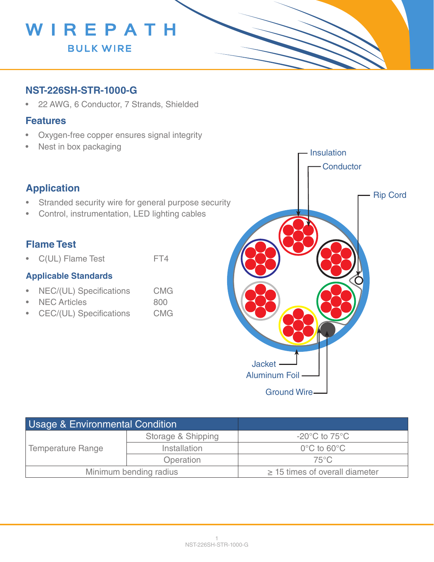

### **NST-226SH-STR-1000-G**

• 22 AWG, 6 Conductor, 7 Strands, Shielded

#### **Features**

- Oxygen-free copper ensures signal integrity
- Nest in box packaging

## **Application**

- Stranded security wire for general purpose security
- Control, instrumentation, LED lighting cables

## **Flame Test**

• C(UL) Flame Test FT4

#### **Applicable Standards**

- NEC/(UL) Specifications CMG
- NEC Articles 800
- CEC/(UL) Specifications CMG



| <b>Usage &amp; Environmental Condition</b> |                    |                                     |
|--------------------------------------------|--------------------|-------------------------------------|
| <b>Temperature Range</b>                   | Storage & Shipping | $-20^{\circ}$ C to 75 $^{\circ}$ C  |
|                                            | Installation       | $0^{\circ}$ C to 60 $^{\circ}$ C    |
|                                            | Operation          | $75^{\circ}$ C                      |
| Minimum bending radius                     |                    | $\geq$ 15 times of overall diameter |